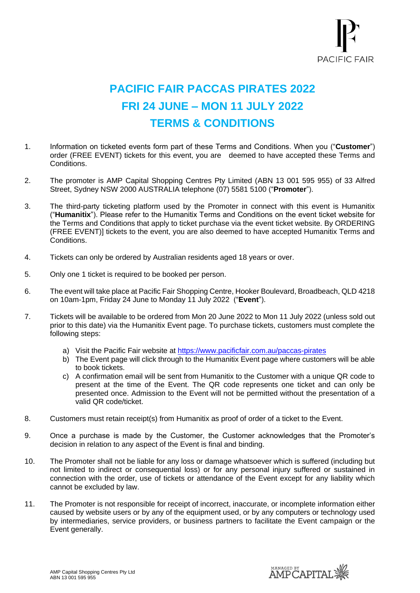

## **PACIFIC FAIR PACCAS PIRATES 2022 FRI 24 JUNE – MON 11 JULY 2022 TERMS & CONDITIONS**

- 1. Information on ticketed events form part of these Terms and Conditions. When you ("**Customer**") order (FREE EVENT) tickets for this event, you are deemed to have accepted these Terms and Conditions.
- 2. The promoter is AMP Capital Shopping Centres Pty Limited (ABN 13 001 595 955) of 33 Alfred Street, Sydney NSW 2000 AUSTRALIA telephone [\(07\) 5581 5100](tel:07%205581%205100) ("**Promoter**").
- 3. The third-party ticketing platform used by the Promoter in connect with this event is Humanitix ("**Humanitix**"). Please refer to the Humanitix Terms and Conditions on the event ticket website for the Terms and Conditions that apply to ticket purchase via the event ticket website. By ORDERING (FREE EVENT)] tickets to the event, you are also deemed to have accepted Humanitix Terms and Conditions.
- 4. Tickets can only be ordered by Australian residents aged 18 years or over.
- 5. Only one 1 ticket is required to be booked per person.
- 6. The event will take place at Pacific Fair Shopping Centre, Hooker Boulevard, Broadbeach, QLD 4218 on 10am-1pm, Friday 24 June to Monday 11 July 2022 ("**Event**").
- 7. Tickets will be available to be ordered from Mon 20 June 2022 to Mon 11 July 2022 (unless sold out prior to this date) via the Humanitix Event page. To purchase tickets, customers must complete the following steps:
	- a) Visit the Pacific Fair website at [https://www.pacificfair.com.au/p](https://www.pacificfair.com.au/)accas-pirates
	- b) The Event page will click through to the Humanitix Event page where customers will be able to book tickets.
	- c) A confirmation email will be sent from Humanitix to the Customer with a unique QR code to present at the time of the Event. The QR code represents one ticket and can only be presented once. Admission to the Event will not be permitted without the presentation of a valid QR code/ticket.
- 8. Customers must retain receipt(s) from Humanitix as proof of order of a ticket to the Event.
- 9. Once a purchase is made by the Customer, the Customer acknowledges that the Promoter's decision in relation to any aspect of the Event is final and binding.
- 10. The Promoter shall not be liable for any loss or damage whatsoever which is suffered (including but not limited to indirect or consequential loss) or for any personal injury suffered or sustained in connection with the order, use of tickets or attendance of the Event except for any liability which cannot be excluded by law.
- 11. The Promoter is not responsible for receipt of incorrect, inaccurate, or incomplete information either caused by website users or by any of the equipment used, or by any computers or technology used by intermediaries, service providers, or business partners to facilitate the Event campaign or the Event generally.

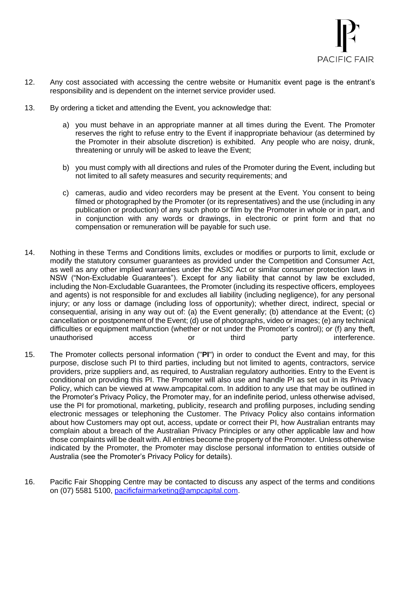

- 12. Any cost associated with accessing the centre website or Humanitix event page is the entrant's responsibility and is dependent on the internet service provider used.
- 13. By ordering a ticket and attending the Event, you acknowledge that:
	- a) you must behave in an appropriate manner at all times during the Event. The Promoter reserves the right to refuse entry to the Event if inappropriate behaviour (as determined by the Promoter in their absolute discretion) is exhibited. Any people who are noisy, drunk, threatening or unruly will be asked to leave the Event;
	- b) you must comply with all directions and rules of the Promoter during the Event, including but not limited to all safety measures and security requirements; and
	- c) cameras, audio and video recorders may be present at the Event. You consent to being filmed or photographed by the Promoter (or its representatives) and the use (including in any publication or production) of any such photo or film by the Promoter in whole or in part, and in conjunction with any words or drawings, in electronic or print form and that no compensation or remuneration will be payable for such use.
- 14. Nothing in these Terms and Conditions limits, excludes or modifies or purports to limit, exclude or modify the statutory consumer guarantees as provided under the Competition and Consumer Act, as well as any other implied warranties under the ASIC Act or similar consumer protection laws in NSW ("Non-Excludable Guarantees"). Except for any liability that cannot by law be excluded, including the Non-Excludable Guarantees, the Promoter (including its respective officers, employees and agents) is not responsible for and excludes all liability (including negligence), for any personal injury; or any loss or damage (including loss of opportunity); whether direct, indirect, special or consequential, arising in any way out of: (a) the Event generally; (b) attendance at the Event; (c) cancellation or postponement of the Event; (d) use of photographs, video or images; (e) any technical difficulties or equipment malfunction (whether or not under the Promoter's control); or (f) any theft, unauthorised access or third party interference.
- 15. The Promoter collects personal information ("**PI**") in order to conduct the Event and may, for this purpose, disclose such PI to third parties, including but not limited to agents, contractors, service providers, prize suppliers and, as required, to Australian regulatory authorities. Entry to the Event is conditional on providing this PI. The Promoter will also use and handle PI as set out in its Privacy Policy, which can be viewed at www.ampcapital.com. In addition to any use that may be outlined in the Promoter's Privacy Policy, the Promoter may, for an indefinite period, unless otherwise advised, use the PI for promotional, marketing, publicity, research and profiling purposes, including sending electronic messages or telephoning the Customer. The Privacy Policy also contains information about how Customers may opt out, access, update or correct their PI, how Australian entrants may complain about a breach of the Australian Privacy Principles or any other applicable law and how those complaints will be dealt with. All entries become the property of the Promoter. Unless otherwise indicated by the Promoter, the Promoter may disclose personal information to entities outside of Australia (see the Promoter's Privacy Policy for details).
- 16. Pacific Fair Shopping Centre may be contacted to discuss any aspect of the terms and conditions on (07) 5581 5100, [pacificfairmarketing@ampcapital.com.](mailto:pacificfairmarketing@ampcapital.com)